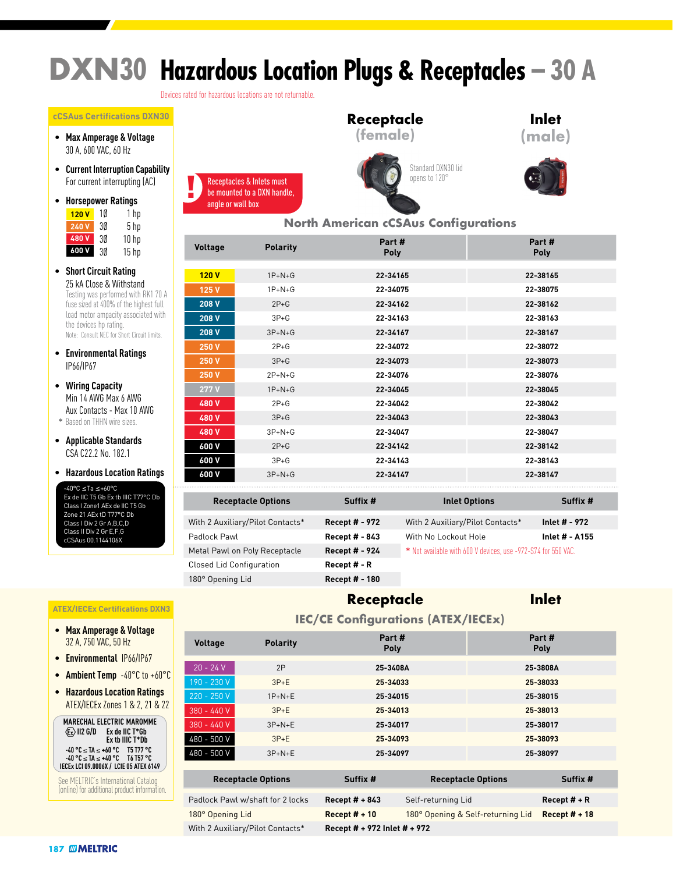# **DXN30 Hazardous Location Plugs & Receptacles – 30 A**

Devices rated for hazardous locations are not returnable.

#### **cCSAus Certifications DXN30**

- **Max Amperage & Voltage** 30 A, 600 VAC, 60 Hz
- **Current Interruption Capability** For current interrupting (AC)
- **Horsepower Ratings** <mark>120 V</mark> 10 1 hp 3Ø 5 hp **240 V** 3Ø 10 hp **480 V** 3Ø 15 hp **600 V**
- **Short Circuit Rating** 25 kA Close & Withstand<br>Testing was performed with RK1 70 A fuse sized at 400% of the highest full load motor ampacity associated with the devices hp rating. Note: Consult NEC for Short Circuit limits.
- **Environmental Ratings** IP66/IP67
- **Wiring Capacity** Min 14 AWG Max 6 AWG Aux Contacts - Max 10 AWG
- \* Based on THHN wire sizes.
- **Applicable Standards** CSA C22.2 No. 182.1
- **Hazardous Location Ratings**

-40°C ≤Ta ≤+60°C Ex de IIC T5 Gb Ex tb IIIC T77°C Db Class I Zone1 AEx de IIC T5 Gb Zone 21 AEx tD T77°C Db Class I Div 2 Gr A,B,C,D Class II Div 2 Gr E,F,G cCSAus 00.1144106X

#### **ATEX/IECEx Certifications DXN3**

- **Max Amperage & Voltage** 32 A, 750 VAC, 50 Hz
- **Environmental** IP66/IP67
- **Ambient Temp** -40°C to +60°C
- **Hazardous Location Ratings** ATEX/IECEx Zones 1 & 2, 21 & 22



ı

 $\overline{\phantom{a}}$ 

See MELTRIC's International Catalog (online) for additional product information.









#### **North American cCSAus Configurations**

| Voltage | <b>Polarity</b> | Part#<br>Poly | Part#<br>Poly |
|---------|-----------------|---------------|---------------|
|         |                 |               |               |
| 120V    | $1P+N+G$        | 22-34165      | 22-38165      |
| 125 V   | $1P + N + G$    | 22-34075      | 22-38075      |
| 208 V   | $2P+G$          | 22-34162      | 22-38162      |
| 208 V   | $3P+G$          | 22-34163      | 22-38163      |
| 208 V   | $3P+N+G$        | 22-34167      | 22-38167      |
| 250 V   | $2P+G$          | 22-34072      | 22-38072      |
| 250 V   | $3P+G$          | 22-34073      | 22-38073      |
| 250 V   | $2P + N + G$    | 22-34076      | 22-38076      |
| 277V    | $1P+N+G$        | 22-34045      | 22-38045      |
| 480 V   | $2P+G$          | 22-34042      | 22-38042      |
| 480 V   | $3P+G$          | 22-34043      | 22-38043      |
| 480 V   | $3P + N + G$    | 22-34047      | 22-38047      |
| 600 V   | $2P+G$          | 22-34142      | 22-38142      |
| 600 V   | $3P+G$          | 22-34143      | 22-38143      |
| 600 V   | $3P + N + G$    | 22-34147      | 22-38147      |

| <b>Receptacle Options</b>        | Suffix #              | <b>Inlet Options</b>                                          | Suffix #              |
|----------------------------------|-----------------------|---------------------------------------------------------------|-----------------------|
| With 2 Auxiliary/Pilot Contacts* | <b>Recept # - 972</b> | With 2 Auxiliary/Pilot Contacts*                              | Inlet # - 972         |
| Padlock Pawl                     | <b>Recept # - 843</b> | With No Lockout Hole                                          | <b>Inlet # - A155</b> |
| Metal Pawl on Poly Receptacle    | Recept # - 924        | * Not available with 600 V devices, use -972-S74 for 550 VAC. |                       |
| <b>Closed Lid Configuration</b>  | Recept # - R          |                                                               |                       |
| 180° Opening Lid                 | Recept # - 180        |                                                               |                       |

#### **Recept # - 924** \* Not available with 600 V devices, use -972-S74 for 550 VAC. Recept # - R 180° Opening Lid **Recept # - 180**

**Receptacle Options Suffix # Inlet Options Suffix #**

### **Receptacle**

### **Inlet**

| <b>IEC/CE Configurations (ATEX/IECEx)</b> |                                  |                       |                              |                                                      |          |  |  |  |  |
|-------------------------------------------|----------------------------------|-----------------------|------------------------------|------------------------------------------------------|----------|--|--|--|--|
| <b>Voltage</b>                            | <b>Polarity</b>                  | Part #<br><b>Poly</b> |                              | Part#<br><b>Poly</b>                                 |          |  |  |  |  |
| $20 - 24 V$                               | 2P                               | 25-3408A              |                              | 25-3808A                                             |          |  |  |  |  |
| 190 - 230 V                               | $3P+E$                           | 25-34033              |                              | 25-38033                                             |          |  |  |  |  |
| 220 - 250 V                               | $1P+N+E$                         | 25-34015              |                              | 25-38015                                             |          |  |  |  |  |
| $380 - 440V$                              | $3P+E$                           | 25-34013              |                              | 25-38013                                             |          |  |  |  |  |
| 380 - 440 V                               | $3P+N+E$                         | 25-34017              |                              | 25-38017                                             |          |  |  |  |  |
| 480 - 500 V                               | $3P+E$                           | 25-34093              |                              | 25-38093                                             |          |  |  |  |  |
| 480 - 500 V                               | $3P + N + E$                     | 25-34097              |                              | 25-38097                                             |          |  |  |  |  |
|                                           | <b>Receptacle Options</b>        | Suffix #              |                              | <b>Receptacle Options</b>                            | Suffix # |  |  |  |  |
|                                           | Padlock Pawl w/shaft for 2 locks | Recept $# + 843$      | Self-returning Lid           | Recept $#$ + R                                       |          |  |  |  |  |
| 180° Opening Lid                          |                                  | Recept $# + 10$       |                              | 180° Opening & Self-returning Lid<br>Recept $# + 18$ |          |  |  |  |  |
|                                           | With 2 Auxiliary/Pilot Contacts* |                       | Recept # + 972 Inlet # + 972 |                                                      |          |  |  |  |  |